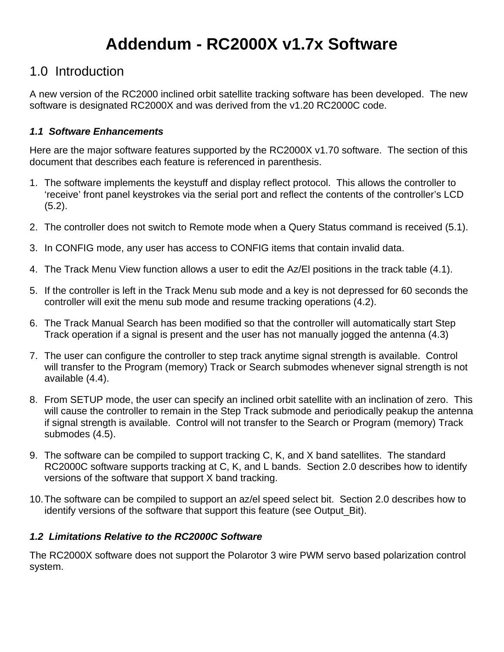# **Addendum - RC2000X v1.7x Software**

# 1.0 Introduction

A new version of the RC2000 inclined orbit satellite tracking software has been developed. The new software is designated RC2000X and was derived from the v1.20 RC2000C code.

# *1.1 Software Enhancements*

Here are the major software features supported by the RC2000X v1.70 software. The section of this document that describes each feature is referenced in parenthesis.

- 1. The software implements the keystuff and display reflect protocol. This allows the controller to 'receive' front panel keystrokes via the serial port and reflect the contents of the controller's LCD (5.2).
- 2. The controller does not switch to Remote mode when a Query Status command is received (5.1).
- 3. In CONFIG mode, any user has access to CONFIG items that contain invalid data.
- 4. The Track Menu View function allows a user to edit the Az/El positions in the track table (4.1).
- 5. If the controller is left in the Track Menu sub mode and a key is not depressed for 60 seconds the controller will exit the menu sub mode and resume tracking operations (4.2).
- 6. The Track Manual Search has been modified so that the controller will automatically start Step Track operation if a signal is present and the user has not manually jogged the antenna (4.3)
- 7. The user can configure the controller to step track anytime signal strength is available. Control will transfer to the Program (memory) Track or Search submodes whenever signal strength is not available (4.4).
- 8. From SETUP mode, the user can specify an inclined orbit satellite with an inclination of zero. This will cause the controller to remain in the Step Track submode and periodically peakup the antenna if signal strength is available. Control will not transfer to the Search or Program (memory) Track submodes (4.5).
- 9. The software can be compiled to support tracking C, K, and X band satellites. The standard RC2000C software supports tracking at C, K, and L bands. Section 2.0 describes how to identify versions of the software that support X band tracking.
- 10. The software can be compiled to support an az/el speed select bit. Section 2.0 describes how to identify versions of the software that support this feature (see Output\_Bit).

# *1.2 Limitations Relative to the RC2000C Software*

The RC2000X software does not support the Polarotor 3 wire PWM servo based polarization control system.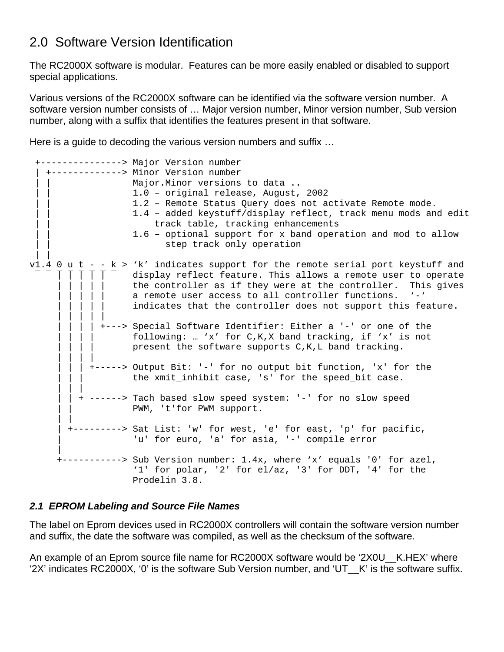# 2.0 Software Version Identification

The RC2000X software is modular. Features can be more easily enabled or disabled to support special applications.

Various versions of the RC2000X software can be identified via the software version number. A software version number consists of … Major version number, Minor version number, Sub version number, along with a suffix that identifies the features present in that software.

Here is a guide to decoding the various version numbers and suffix …

```
 +---------------> Major Version number 
    | +-------------> Minor Version number 
                   Major. Minor versions to data ..
                    | | 1.0 – original release, August, 2002 
                    1.2 - Remote Status Query does not activate Remote mode.
                    | | 1.4 – added keystuff/display reflect, track menu mods and edit 
                        track table, tracking enhancements
                   1.6 - optional support for x band operation and mod to allow
                          step track only operation
 | | 
v_1.4 0 u t - - k > 'k' indicates support for the remote serial port keystuff and
                   display reflect feature. This allows a remote user to operate
                   the controller as if they were at the controller. This gives
                   a remote user access to all controller functions. \cdot-\cdotindicates that the controller does not support this feature.
 | | | | | 
              | | | | +---> Special Software Identifier: Either a '-' or one of the 
                    following: … 'x' for C,K,X band tracking, if 'x' is not
                   present the software supports C, K, L band tracking.
 | | | | 
            | | | +-----> Output Bit: '-' for no output bit function, 'x' for the 
                    the xmit_inhibit case, 's' for the speed_bit case.
 | | | 
          | | + ------> Tach based slow speed system: '-' for no slow speed 
                   PWM, 't'for PWM support.
 | | 
        | +---------> Sat List: 'w' for west, 'e' for east, 'p' for pacific, 
                    'u' for euro, 'a' for asia, '-' compile error
 | 
        +-----------> Sub Version number: 1.4x, where 'x' equals '0' for azel, 
                     '1' for polar, '2' for el/az, '3' for DDT, '4' for the 
                    Prodelin 3.8.
```
# *2.1 EPROM Labeling and Source File Names*

The label on Eprom devices used in RC2000X controllers will contain the software version number and suffix, the date the software was compiled, as well as the checksum of the software.

An example of an Eprom source file name for RC2000X software would be '2X0U\_\_K.HEX' where '2X' indicates RC2000X, '0' is the software Sub Version number, and 'UT\_\_K' is the software suffix.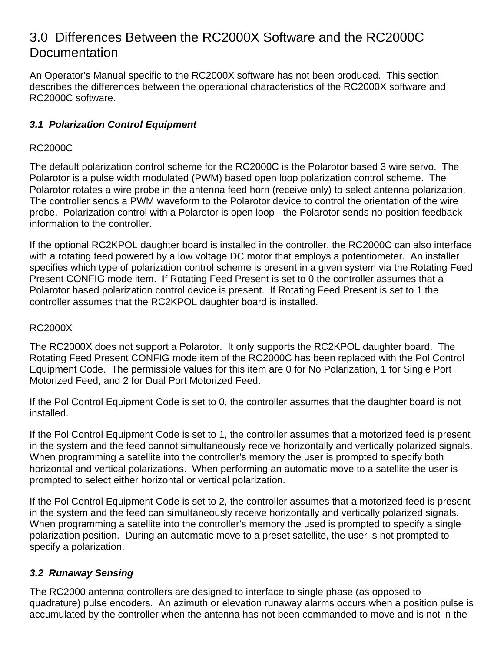# 3.0 Differences Between the RC2000X Software and the RC2000C **Documentation**

An Operator's Manual specific to the RC2000X software has not been produced. This section describes the differences between the operational characteristics of the RC2000X software and RC2000C software.

# *3.1 Polarization Control Equipment*

# RC2000C

The default polarization control scheme for the RC2000C is the Polarotor based 3 wire servo. The Polarotor is a pulse width modulated (PWM) based open loop polarization control scheme. The Polarotor rotates a wire probe in the antenna feed horn (receive only) to select antenna polarization. The controller sends a PWM waveform to the Polarotor device to control the orientation of the wire probe. Polarization control with a Polarotor is open loop - the Polarotor sends no position feedback information to the controller.

If the optional RC2KPOL daughter board is installed in the controller, the RC2000C can also interface with a rotating feed powered by a low voltage DC motor that employs a potentiometer. An installer specifies which type of polarization control scheme is present in a given system via the Rotating Feed Present CONFIG mode item. If Rotating Feed Present is set to 0 the controller assumes that a Polarotor based polarization control device is present. If Rotating Feed Present is set to 1 the controller assumes that the RC2KPOL daughter board is installed.

#### RC2000X

The RC2000X does not support a Polarotor. It only supports the RC2KPOL daughter board. The Rotating Feed Present CONFIG mode item of the RC2000C has been replaced with the Pol Control Equipment Code. The permissible values for this item are 0 for No Polarization, 1 for Single Port Motorized Feed, and 2 for Dual Port Motorized Feed.

If the Pol Control Equipment Code is set to 0, the controller assumes that the daughter board is not installed.

If the Pol Control Equipment Code is set to 1, the controller assumes that a motorized feed is present in the system and the feed cannot simultaneously receive horizontally and vertically polarized signals. When programming a satellite into the controller's memory the user is prompted to specify both horizontal and vertical polarizations. When performing an automatic move to a satellite the user is prompted to select either horizontal or vertical polarization.

If the Pol Control Equipment Code is set to 2, the controller assumes that a motorized feed is present in the system and the feed can simultaneously receive horizontally and vertically polarized signals. When programming a satellite into the controller's memory the used is prompted to specify a single polarization position. During an automatic move to a preset satellite, the user is not prompted to specify a polarization.

# *3.2 Runaway Sensing*

The RC2000 antenna controllers are designed to interface to single phase (as opposed to quadrature) pulse encoders. An azimuth or elevation runaway alarms occurs when a position pulse is accumulated by the controller when the antenna has not been commanded to move and is not in the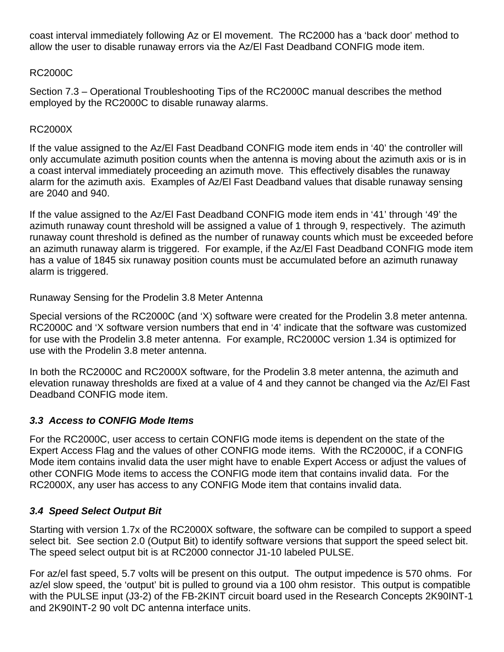coast interval immediately following Az or El movement. The RC2000 has a 'back door' method to allow the user to disable runaway errors via the Az/El Fast Deadband CONFIG mode item.

# RC2000C

Section 7.3 – Operational Troubleshooting Tips of the RC2000C manual describes the method employed by the RC2000C to disable runaway alarms.

#### RC2000X

If the value assigned to the Az/El Fast Deadband CONFIG mode item ends in '40' the controller will only accumulate azimuth position counts when the antenna is moving about the azimuth axis or is in a coast interval immediately proceeding an azimuth move. This effectively disables the runaway alarm for the azimuth axis. Examples of Az/El Fast Deadband values that disable runaway sensing are 2040 and 940.

If the value assigned to the Az/El Fast Deadband CONFIG mode item ends in '41' through '49' the azimuth runaway count threshold will be assigned a value of 1 through 9, respectively. The azimuth runaway count threshold is defined as the number of runaway counts which must be exceeded before an azimuth runaway alarm is triggered. For example, if the Az/El Fast Deadband CONFIG mode item has a value of 1845 six runaway position counts must be accumulated before an azimuth runaway alarm is triggered.

Runaway Sensing for the Prodelin 3.8 Meter Antenna

Special versions of the RC2000C (and 'X) software were created for the Prodelin 3.8 meter antenna. RC2000C and 'X software version numbers that end in '4' indicate that the software was customized for use with the Prodelin 3.8 meter antenna. For example, RC2000C version 1.34 is optimized for use with the Prodelin 3.8 meter antenna.

In both the RC2000C and RC2000X software, for the Prodelin 3.8 meter antenna, the azimuth and elevation runaway thresholds are fixed at a value of 4 and they cannot be changed via the Az/El Fast Deadband CONFIG mode item.

# *3.3 Access to CONFIG Mode Items*

For the RC2000C, user access to certain CONFIG mode items is dependent on the state of the Expert Access Flag and the values of other CONFIG mode items. With the RC2000C, if a CONFIG Mode item contains invalid data the user might have to enable Expert Access or adjust the values of other CONFIG Mode items to access the CONFIG mode item that contains invalid data. For the RC2000X, any user has access to any CONFIG Mode item that contains invalid data.

# *3.4 Speed Select Output Bit*

Starting with version 1.7x of the RC2000X software, the software can be compiled to support a speed select bit. See section 2.0 (Output Bit) to identify software versions that support the speed select bit. The speed select output bit is at RC2000 connector J1-10 labeled PULSE.

For az/el fast speed, 5.7 volts will be present on this output. The output impedence is 570 ohms. For az/el slow speed, the 'output' bit is pulled to ground via a 100 ohm resistor. This output is compatible with the PULSE input (J3-2) of the FB-2KINT circuit board used in the Research Concepts 2K90INT-1 and 2K90INT-2 90 volt DC antenna interface units.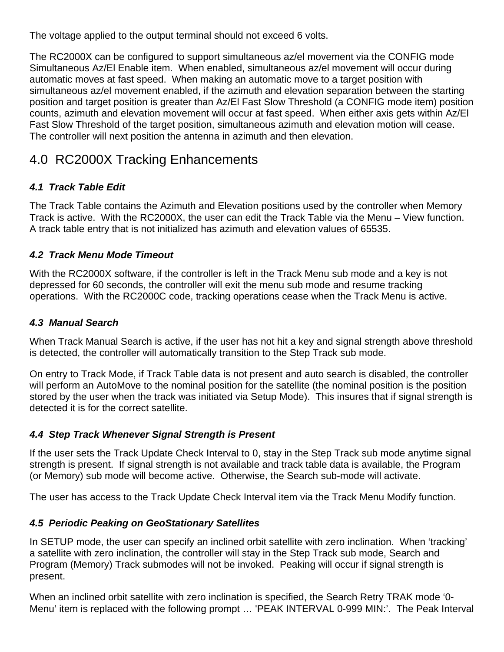The voltage applied to the output terminal should not exceed 6 volts.

The RC2000X can be configured to support simultaneous az/el movement via the CONFIG mode Simultaneous Az/El Enable item. When enabled, simultaneous az/el movement will occur during automatic moves at fast speed. When making an automatic move to a target position with simultaneous az/el movement enabled, if the azimuth and elevation separation between the starting position and target position is greater than Az/El Fast Slow Threshold (a CONFIG mode item) position counts, azimuth and elevation movement will occur at fast speed. When either axis gets within Az/El Fast Slow Threshold of the target position, simultaneous azimuth and elevation motion will cease. The controller will next position the antenna in azimuth and then elevation.

# 4.0 RC2000X Tracking Enhancements

# *4.1 Track Table Edit*

The Track Table contains the Azimuth and Elevation positions used by the controller when Memory Track is active. With the RC2000X, the user can edit the Track Table via the Menu – View function. A track table entry that is not initialized has azimuth and elevation values of 65535.

# *4.2 Track Menu Mode Timeout*

With the RC2000X software, if the controller is left in the Track Menu sub mode and a key is not depressed for 60 seconds, the controller will exit the menu sub mode and resume tracking operations. With the RC2000C code, tracking operations cease when the Track Menu is active.

# *4.3 Manual Search*

When Track Manual Search is active, if the user has not hit a key and signal strength above threshold is detected, the controller will automatically transition to the Step Track sub mode.

On entry to Track Mode, if Track Table data is not present and auto search is disabled, the controller will perform an AutoMove to the nominal position for the satellite (the nominal position is the position stored by the user when the track was initiated via Setup Mode). This insures that if signal strength is detected it is for the correct satellite.

# *4.4 Step Track Whenever Signal Strength is Present*

If the user sets the Track Update Check Interval to 0, stay in the Step Track sub mode anytime signal strength is present. If signal strength is not available and track table data is available, the Program (or Memory) sub mode will become active. Otherwise, the Search sub-mode will activate.

The user has access to the Track Update Check Interval item via the Track Menu Modify function.

# *4.5 Periodic Peaking on GeoStationary Satellites*

In SETUP mode, the user can specify an inclined orbit satellite with zero inclination. When 'tracking' a satellite with zero inclination, the controller will stay in the Step Track sub mode, Search and Program (Memory) Track submodes will not be invoked. Peaking will occur if signal strength is present.

When an inclined orbit satellite with zero inclination is specified, the Search Retry TRAK mode '0- Menu' item is replaced with the following prompt … 'PEAK INTERVAL 0-999 MIN:'. The Peak Interval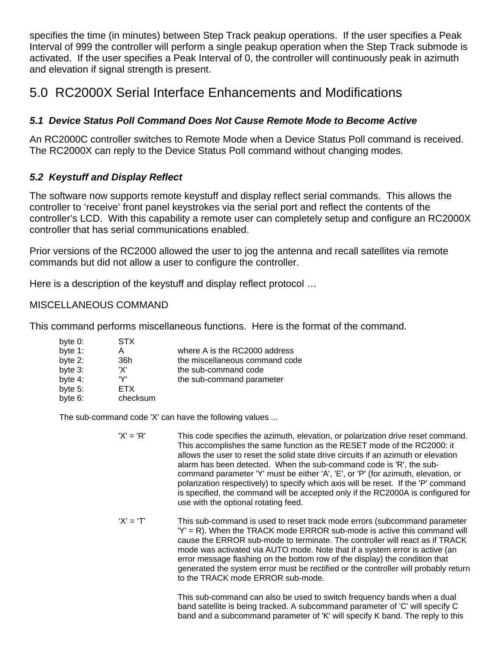specifies the time (in minutes) between Step Track peakup operations. If the user specifies a Peak Interval of 999 the controller will perform a single peakup operation when the Step Track submode is activated. If the user specifies a Peak Interval of 0, the controller will continuously peak in azimuth and elevation if signal strength is present.

# 5.0 RC2000X Serial Interface Enhancements and Modifications

# *5.1 Device Status Poll Command Does Not Cause Remote Mode to Become Active*

An RC2000C controller switches to Remote Mode when a Device Status Poll command is received. The RC2000X can reply to the Device Status Poll command without changing modes.

# *5.2 Keystuff and Display Reflect*

The software now supports remote keystuff and display reflect serial commands. This allows the controller to 'receive' front panel keystrokes via the serial port and reflect the contents of the controller's LCD. With this capability a remote user can completely setup and configure an RC2000X controller that has serial communications enabled.

Prior versions of the RC2000 allowed the user to jog the antenna and recall satellites via remote commands but did not allow a user to configure the controller.

Here is a description of the keystuff and display reflect protocol …

# MISCELLANEOUS COMMAND

This command performs miscellaneous functions. Here is the format of the command.

| byte 0:    | <b>STX</b> |                                |
|------------|------------|--------------------------------|
| byte 1:    | А          | where A is the RC2000 address  |
| byte 2:    | 36h        | the miscellaneous command code |
| byte 3:    | 'X'        | the sub-command code           |
| byte 4:    | 'V'        | the sub-command parameter      |
| byte $5$ : | ETX.       |                                |
| byte 6:    | checksum   |                                |

The sub-command code 'X' can have the following values ...

| $'X' = 'R'$ | This code specifies the azimuth, elevation, or polarization drive reset command.<br>This accomplishes the same function as the RESET mode of the RC2000: it<br>allows the user to reset the solid state drive circuits if an azimuth or elevation<br>alarm has been detected. When the sub-command code is 'R', the sub-<br>command parameter 'Y' must be either 'A', 'E', or 'P' (for azimuth, elevation, or<br>polarization respectively) to specify which axis will be reset. If the 'P' command<br>is specified, the command will be accepted only if the RC2000A is configured for |
|-------------|-----------------------------------------------------------------------------------------------------------------------------------------------------------------------------------------------------------------------------------------------------------------------------------------------------------------------------------------------------------------------------------------------------------------------------------------------------------------------------------------------------------------------------------------------------------------------------------------|
|             | use with the optional rotating feed.                                                                                                                                                                                                                                                                                                                                                                                                                                                                                                                                                    |

 $'X' = 'T'$  This sub-command is used to reset track mode errors (subcommand parameter 'Y' = R). When the TRACK mode ERROR sub-mode is active this command will cause the ERROR sub-mode to terminate. The controller will react as if TRACK mode was activated via AUTO mode. Note that if a system error is active (an error message flashing on the bottom row of the display) the condition that generated the system error must be rectified or the controller will probably return to the TRACK mode ERROR sub-mode.

> This sub-command can also be used to switch frequency bands when a dual band satellite is being tracked. A subcommand parameter of 'C' will specify C band and a subcommand parameter of 'K' will specify K band. The reply to this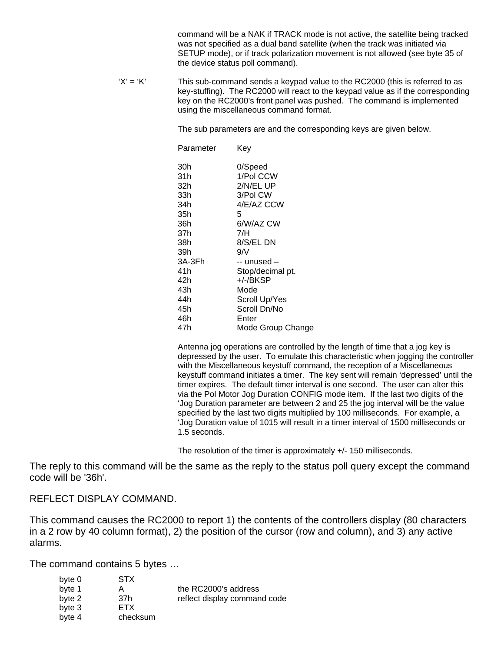command will be a NAK if TRACK mode is not active, the satellite being tracked was not specified as a dual band satellite (when the track was initiated via SETUP mode), or if track polarization movement is not allowed (see byte 35 of the device status poll command).

 $'X' = 'K'$  This sub-command sends a keypad value to the RC2000 (this is referred to as key-stuffing). The RC2000 will react to the keypad value as if the corresponding key on the RC2000's front panel was pushed. The command is implemented using the miscellaneous command format.

The sub parameters are and the corresponding keys are given below.

| Parameter | Key               |
|-----------|-------------------|
| 30h       | 0/Speed           |
| 31h       | 1/Pol CCW         |
| 32h       | 2/N/EL UP         |
| 33h       | 3/Pol CW          |
| 34h       | 4/E/AZ CCW        |
| 35h       | 5                 |
| 36h       | 6/W/AZ CW         |
| 37h       | 7/H               |
| 38h       | 8/S/EL DN         |
| 39h       | 9/N               |
| 3A-3Fh    | -- unused –       |
| 41h       | Stop/decimal pt.  |
| 42h       | +/-/BKSP          |
| 43h       | Mode              |
| 44h       | Scroll Up/Yes     |
| 45h       | Scroll Dn/No      |
| 46h       | Enter             |
| 47h       | Mode Group Change |

 Antenna jog operations are controlled by the length of time that a jog key is depressed by the user. To emulate this characteristic when jogging the controller with the Miscellaneous keystuff command, the reception of a Miscellaneous keystuff command initiates a timer. The key sent will remain 'depressed' until the timer expires. The default timer interval is one second. The user can alter this via the Pol Motor Jog Duration CONFIG mode item. If the last two digits of the 'Jog Duration parameter are between 2 and 25 the jog interval will be the value specified by the last two digits multiplied by 100 milliseconds. For example, a 'Jog Duration value of 1015 will result in a timer interval of 1500 milliseconds or 1.5 seconds.

The resolution of the timer is approximately +/- 150 milliseconds.

The reply to this command will be the same as the reply to the status poll query except the command code will be '36h'.

#### REFLECT DISPLAY COMMAND.

This command causes the RC2000 to report 1) the contents of the controllers display (80 characters in a 2 row by 40 column format), 2) the position of the cursor (row and column), and 3) any active alarms.

The command contains 5 bytes …

| byte 0 | <b>STX</b> |                              |
|--------|------------|------------------------------|
| byte 1 | A          | the RC2000's address         |
| byte 2 | 37h        | reflect display command code |
| byte 3 | ETX.       |                              |
| byte 4 | checksum   |                              |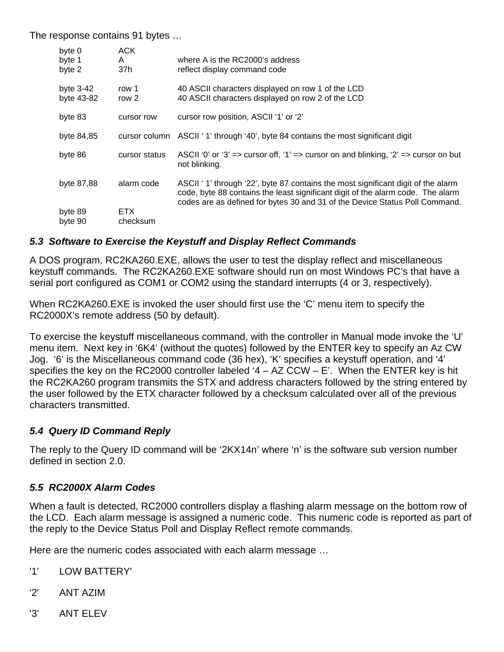The response contains 91 bytes …

| byte 0<br>byte 1<br>byte 2 | <b>ACK</b><br>A<br>37h | where A is the RC2000's address<br>reflect display command code                                                                                                                                                                                     |
|----------------------------|------------------------|-----------------------------------------------------------------------------------------------------------------------------------------------------------------------------------------------------------------------------------------------------|
| byte $3-42$<br>byte 43-82  | row 1<br>row 2         | 40 ASCII characters displayed on row 1 of the LCD<br>40 ASCII characters displayed on row 2 of the LCD                                                                                                                                              |
| byte 83                    | cursor row             | cursor row position, ASCII '1' or '2'                                                                                                                                                                                                               |
| byte 84,85                 |                        | cursor column ASCII ' 1' through '40', byte 84 contains the most significant digit                                                                                                                                                                  |
| byte 86                    | cursor status          | ASCII '0' or '3' => cursor off, '1' => cursor on and blinking, '2' => cursor on but<br>not blinking.                                                                                                                                                |
| byte 87,88                 | alarm code             | ASCII ' 1' through '22', byte 87 contains the most significant digit of the alarm<br>code, byte 88 contains the least significant digit of the alarm code. The alarm<br>codes are as defined for bytes 30 and 31 of the Device Status Poll Command. |
| byte 89<br>byte 90         | ETX.<br>checksum       |                                                                                                                                                                                                                                                     |

#### *5.3 Software to Exercise the Keystuff and Display Reflect Commands*

A DOS program, RC2KA260.EXE, allows the user to test the display reflect and miscellaneous keystuff commands. The RC2KA260.EXE software should run on most Windows PC's that have a serial port configured as COM1 or COM2 using the standard interrupts (4 or 3, respectively).

When RC2KA260.EXE is invoked the user should first use the 'C' menu item to specify the RC2000X's remote address (50 by default).

To exercise the keystuff miscellaneous command, with the controller in Manual mode invoke the 'U' menu item. Next key in '6K4' (without the quotes) followed by the ENTER key to specify an Az CW Jog. '6' is the Miscellaneous command code (36 hex), 'K' specifies a keystuff operation, and '4' specifies the key on the RC2000 controller labeled  $4 - AZ CCW - E'$ . When the ENTER key is hit the RC2KA260 program transmits the STX and address characters followed by the string entered by the user followed by the ETX character followed by a checksum calculated over all of the previous characters transmitted.

# *5.4 Query ID Command Reply*

The reply to the Query ID command will be '2KX14n' where 'n' is the software sub version number defined in section 2.0.

#### *5.5 RC2000X Alarm Codes*

When a fault is detected, RC2000 controllers display a flashing alarm message on the bottom row of the LCD. Each alarm message is assigned a numeric code. This numeric code is reported as part of the reply to the Device Status Poll and Display Reflect remote commands.

Here are the numeric codes associated with each alarm message …

- '1' LOW BATTERY'
- '2' ANT AZIM
- '3' ANT ELEV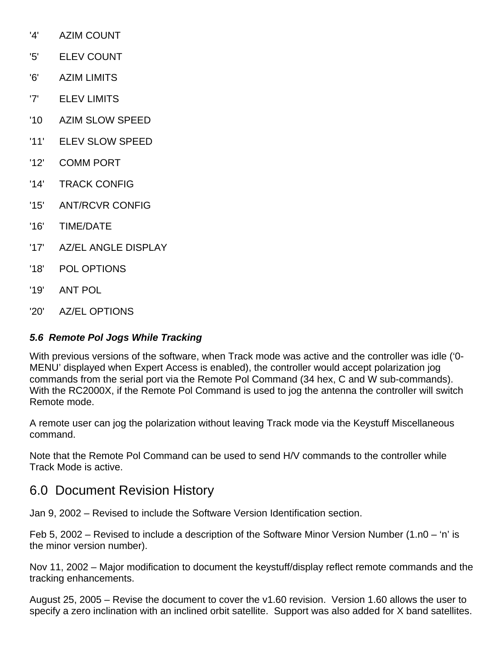- '4' AZIM COUNT
- '5' ELEV COUNT
- '6' AZIM LIMITS
- '7' ELEV LIMITS
- '10 AZIM SLOW SPEED
- '11' ELEV SLOW SPEED
- '12' COMM PORT
- '14' TRACK CONFIG
- '15' ANT/RCVR CONFIG
- '16' TIME/DATE
- '17' AZ/EL ANGLE DISPLAY
- '18' POL OPTIONS
- '19' ANT POL
- '20' AZ/EL OPTIONS

# *5.6 Remote Pol Jogs While Tracking*

With previous versions of the software, when Track mode was active and the controller was idle ('0- MENU' displayed when Expert Access is enabled), the controller would accept polarization jog commands from the serial port via the Remote Pol Command (34 hex, C and W sub-commands). With the RC2000X, if the Remote Pol Command is used to jog the antenna the controller will switch Remote mode.

A remote user can jog the polarization without leaving Track mode via the Keystuff Miscellaneous command.

Note that the Remote Pol Command can be used to send H/V commands to the controller while Track Mode is active.

# 6.0 Document Revision History

Jan 9, 2002 – Revised to include the Software Version Identification section.

Feb 5, 2002 – Revised to include a description of the Software Minor Version Number (1.n0 – 'n' is the minor version number).

Nov 11, 2002 – Major modification to document the keystuff/display reflect remote commands and the tracking enhancements.

August 25, 2005 – Revise the document to cover the v1.60 revision. Version 1.60 allows the user to specify a zero inclination with an inclined orbit satellite. Support was also added for X band satellites.